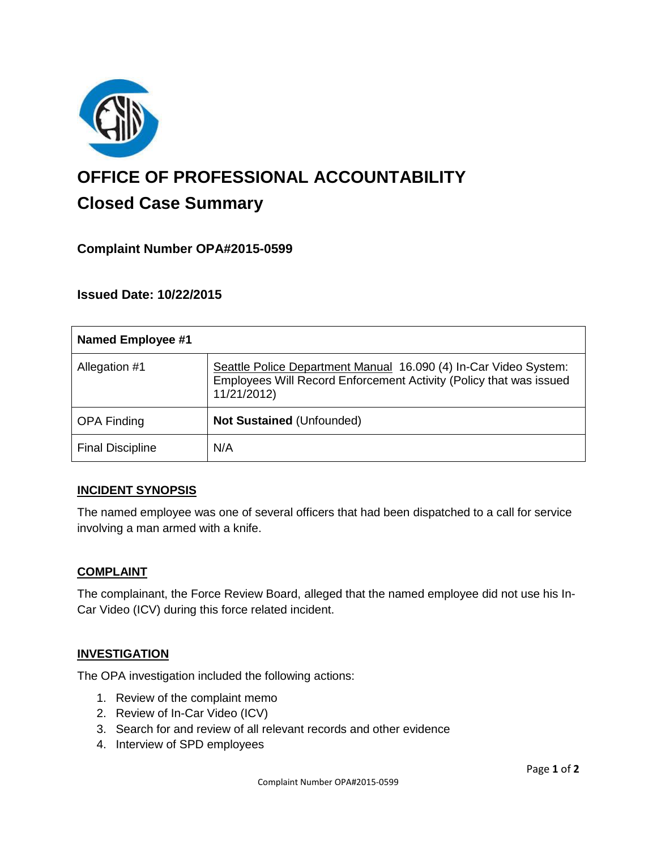

# **OFFICE OF PROFESSIONAL ACCOUNTABILITY Closed Case Summary**

# **Complaint Number OPA#2015-0599**

**Issued Date: 10/22/2015**

| <b>Named Employee #1</b> |                                                                                                                                                       |
|--------------------------|-------------------------------------------------------------------------------------------------------------------------------------------------------|
| Allegation #1            | Seattle Police Department Manual 16.090 (4) In-Car Video System:<br>Employees Will Record Enforcement Activity (Policy that was issued<br>11/21/2012) |
| <b>OPA Finding</b>       | Not Sustained (Unfounded)                                                                                                                             |
| <b>Final Discipline</b>  | N/A                                                                                                                                                   |

#### **INCIDENT SYNOPSIS**

The named employee was one of several officers that had been dispatched to a call for service involving a man armed with a knife.

#### **COMPLAINT**

The complainant, the Force Review Board, alleged that the named employee did not use his In-Car Video (ICV) during this force related incident.

#### **INVESTIGATION**

The OPA investigation included the following actions:

- 1. Review of the complaint memo
- 2. Review of In-Car Video (ICV)
- 3. Search for and review of all relevant records and other evidence
- 4. Interview of SPD employees